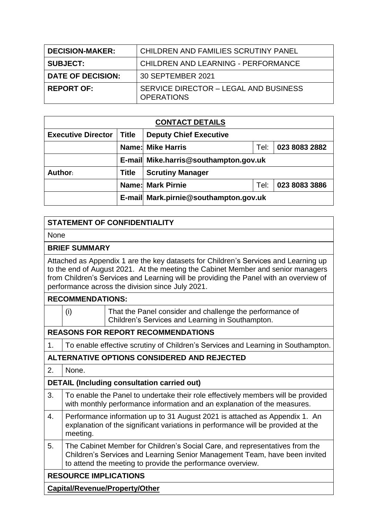| <b>DECISION-MAKER:</b>   | CHILDREN AND FAMILIES SCRUTINY PANEL                       |
|--------------------------|------------------------------------------------------------|
| <b>SUBJECT:</b>          | <b>CHILDREN AND LEARNING - PERFORMANCE</b>                 |
| <b>DATE OF DECISION:</b> | 30 SEPTEMBER 2021                                          |
| <b>REPORT OF:</b>        | SERVICE DIRECTOR - LEGAL AND BUSINESS<br><b>OPERATIONS</b> |

| <b>CONTACT DETAILS</b>    |              |                                                   |      |               |  |
|---------------------------|--------------|---------------------------------------------------|------|---------------|--|
| <b>Executive Director</b> | Title        | <b>Deputy Chief Executive</b>                     |      |               |  |
|                           |              | <b>Name: Mike Harris</b><br>023 8083 2882<br>Tel: |      |               |  |
|                           |              | E-mail Mike.harris@southampton.gov.uk             |      |               |  |
| Author:                   | <b>Title</b> | <b>Scrutiny Manager</b>                           |      |               |  |
|                           |              | <b>Name: Mark Pirnie</b>                          | Tel: | 023 8083 3886 |  |
|                           |              | E-mail Mark.pirnie@southampton.gov.uk             |      |               |  |

# **STATEMENT OF CONFIDENTIALITY**

None

#### **BRIEF SUMMARY**

Attached as Appendix 1 are the key datasets for Children's Services and Learning up to the end of August 2021. At the meeting the Cabinet Member and senior managers from Children's Services and Learning will be providing the Panel with an overview of performance across the division since July 2021.

## **RECOMMENDATIONS:**

|                                             | (i)                                                                                                                                                                        | That the Panel consider and challenge the performance of<br>Children's Services and Learning in Southampton.                                                                                                            |  |  |  |  |
|---------------------------------------------|----------------------------------------------------------------------------------------------------------------------------------------------------------------------------|-------------------------------------------------------------------------------------------------------------------------------------------------------------------------------------------------------------------------|--|--|--|--|
|                                             | <b>REASONS FOR REPORT RECOMMENDATIONS</b>                                                                                                                                  |                                                                                                                                                                                                                         |  |  |  |  |
| 1.                                          | To enable effective scrutiny of Children's Services and Learning in Southampton.                                                                                           |                                                                                                                                                                                                                         |  |  |  |  |
| ALTERNATIVE OPTIONS CONSIDERED AND REJECTED |                                                                                                                                                                            |                                                                                                                                                                                                                         |  |  |  |  |
| 2.                                          | None.                                                                                                                                                                      |                                                                                                                                                                                                                         |  |  |  |  |
|                                             | <b>DETAIL (Including consultation carried out)</b>                                                                                                                         |                                                                                                                                                                                                                         |  |  |  |  |
| 3.                                          | To enable the Panel to undertake their role effectively members will be provided<br>with monthly performance information and an explanation of the measures.               |                                                                                                                                                                                                                         |  |  |  |  |
| 4.                                          | Performance information up to 31 August 2021 is attached as Appendix 1. An<br>explanation of the significant variations in performance will be provided at the<br>meeting. |                                                                                                                                                                                                                         |  |  |  |  |
| 5.                                          |                                                                                                                                                                            | The Cabinet Member for Children's Social Care, and representatives from the<br>Children's Services and Learning Senior Management Team, have been invited<br>to attend the meeting to provide the performance overview. |  |  |  |  |
| <b>RESOURCE IMPLICATIONS</b>                |                                                                                                                                                                            |                                                                                                                                                                                                                         |  |  |  |  |
|                                             |                                                                                                                                                                            | <b>Capital/Revenue/Property/Other</b>                                                                                                                                                                                   |  |  |  |  |